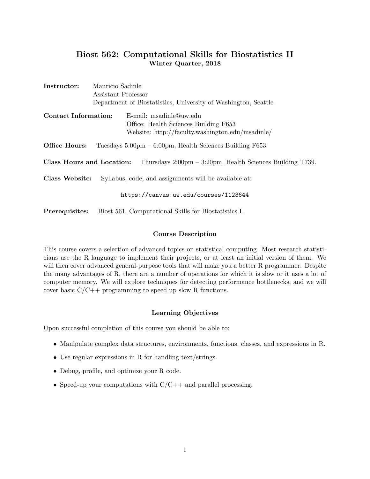# Biost 562: Computational Skills for Biostatistics II Winter Quarter, 2018

| Instructor:                                                                                               | Mauricio Sadinle                                               |                                                                             |  |  |
|-----------------------------------------------------------------------------------------------------------|----------------------------------------------------------------|-----------------------------------------------------------------------------|--|--|
|                                                                                                           | Assistant Professor                                            |                                                                             |  |  |
|                                                                                                           | Department of Biostatistics, University of Washington, Seattle |                                                                             |  |  |
| <b>Contact Information:</b>                                                                               |                                                                | E-mail: msadinle@uw.edu                                                     |  |  |
|                                                                                                           |                                                                | Office: Health Sciences Building F653                                       |  |  |
|                                                                                                           |                                                                | Website: http://faculty.washington.edu/msadinle/                            |  |  |
| Office Hours:                                                                                             |                                                                | Tuesdays $5:00 \text{pm} - 6:00 \text{pm}$ , Health Sciences Building F653. |  |  |
| Class Hours and Location:<br>Thursdays $2:00 \text{pm} - 3:20 \text{pm}$ , Health Sciences Building T739. |                                                                |                                                                             |  |  |
| Class Website:<br>Syllabus, code, and assignments will be available at:                                   |                                                                |                                                                             |  |  |
|                                                                                                           |                                                                | https://canvas.uw.edu/courses/1123644                                       |  |  |
| Prerequisites:                                                                                            |                                                                | Biost 561, Computational Skills for Biostatistics I.                        |  |  |

## Course Description

This course covers a selection of advanced topics on statistical computing. Most research statisticians use the R language to implement their projects, or at least an initial version of them. We will then cover advanced general-purpose tools that will make you a better R programmer. Despite the many advantages of R, there are a number of operations for which it is slow or it uses a lot of computer memory. We will explore techniques for detecting performance bottlenecks, and we will cover basic  $C/C++$  programming to speed up slow R functions.

# Learning Objectives

Upon successful completion of this course you should be able to:

- Manipulate complex data structures, environments, functions, classes, and expressions in R.
- Use regular expressions in R for handling text/strings.
- Debug, profile, and optimize your R code.
- Speed-up your computations with  $C/C++$  and parallel processing.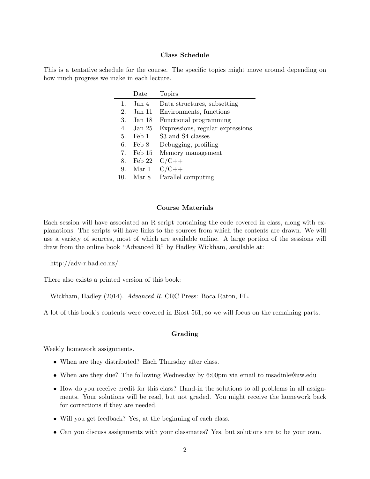#### Class Schedule

This is a tentative schedule for the course. The specific topics might move around depending on how much progress we make in each lecture.

|                | Date             | <b>Topics</b>                    |
|----------------|------------------|----------------------------------|
| $\mathbf{1}$ . | Jan 4            | Data structures, subsetting      |
| 2.             | Jan 11           | Environments, functions          |
| 3.             | - Jan 18         | Functional programming           |
| 4.             | Jan 25           | Expressions, regular expressions |
| 5.             | Feb 1            | S3 and S4 classes                |
| 6.             | Feb 8            | Debugging, profiling             |
| 7.             | Feb 15           | Memory management                |
| 8.             | $\text{Feb } 22$ | $C/C++$                          |
| 9.             | Mar 1            | $C/C++$                          |
| 10.            | Mar 8            | Parallel computing               |

#### Course Materials

Each session will have associated an R script containing the code covered in class, along with explanations. The scripts will have links to the sources from which the contents are drawn. We will use a variety of sources, most of which are available online. A large portion of the sessions will draw from the online book "Advanced R" by Hadley Wickham, available at:

http://adv-r.had.co.nz/.

There also exists a printed version of this book:

Wickham, Hadley (2014). Advanced R. CRC Press: Boca Raton, FL.

A lot of this book's contents were covered in Biost 561, so we will focus on the remaining parts.

#### Grading

Weekly homework assignments.

- When are they distributed? Each Thursday after class.
- When are they due? The following Wednesday by 6:00pm via email to msadinle@uw.edu
- How do you receive credit for this class? Hand-in the solutions to all problems in all assignments. Your solutions will be read, but not graded. You might receive the homework back for corrections if they are needed.
- Will you get feedback? Yes, at the beginning of each class.
- Can you discuss assignments with your classmates? Yes, but solutions are to be your own.